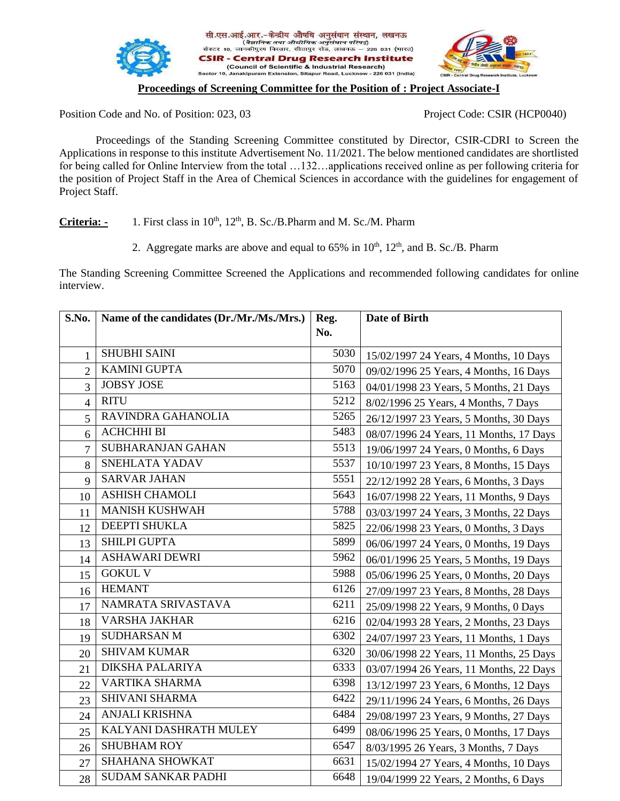



## .<br>10, Janakipuram Extension, Sitapur Road, Lucknow - 226 031 (India) **Proceedings of Screening Committee for the Position of : Project Associate-I**

सी.एस.आई.आर.-केन्द्रीय औषधि अनुसंधान संस्थान, लखनऊ **R** - Central Drug Research Institute (Council of Scientific & Industrial Research)

Position Code and No. of Position: 023, 03 Project Code: CSIR (HCP0040)

Proceedings of the Standing Screening Committee constituted by Director, CSIR-CDRI to Screen the Applications in response to this institute Advertisement No. 11/2021. The below mentioned candidates are shortlisted for being called for Online Interview from the total …132…applications received online as per following criteria for the position of Project Staff in the Area of Chemical Sciences in accordance with the guidelines for engagement of Project Staff.

Criteria: - 1. First class in 10<sup>th</sup>, 12<sup>th</sup>, B. Sc./B.Pharm and M. Sc./M. Pharm

2. Aggregate marks are above and equal to  $65\%$  in  $10^{th}$ ,  $12^{th}$ , and B. Sc./B. Pharm

The Standing Screening Committee Screened the Applications and recommended following candidates for online interview.

| S.No.          | Name of the candidates (Dr./Mr./Ms./Mrs.) | Reg. | Date of Birth                           |
|----------------|-------------------------------------------|------|-----------------------------------------|
|                |                                           | No.  |                                         |
| $\mathbf{1}$   | <b>SHUBHI SAINI</b>                       | 5030 | 15/02/1997 24 Years, 4 Months, 10 Days  |
| $\overline{2}$ | <b>KAMINI GUPTA</b>                       | 5070 | 09/02/1996 25 Years, 4 Months, 16 Days  |
| $\overline{3}$ | <b>JOBSY JOSE</b>                         | 5163 | 04/01/1998 23 Years, 5 Months, 21 Days  |
| $\overline{4}$ | <b>RITU</b>                               | 5212 | 8/02/1996 25 Years, 4 Months, 7 Days    |
| 5              | RAVINDRA GAHANOLIA                        | 5265 | 26/12/1997 23 Years, 5 Months, 30 Days  |
| 6              | <b>ACHCHHI BI</b>                         | 5483 | 08/07/1996 24 Years, 11 Months, 17 Days |
| $\overline{7}$ | <b>SUBHARANJAN GAHAN</b>                  | 5513 | 19/06/1997 24 Years, 0 Months, 6 Days   |
| 8              | SNEHLATA YADAV                            | 5537 | 10/10/1997 23 Years, 8 Months, 15 Days  |
| 9              | <b>SARVAR JAHAN</b>                       | 5551 | 22/12/1992 28 Years, 6 Months, 3 Days   |
| 10             | <b>ASHISH CHAMOLI</b>                     | 5643 | 16/07/1998 22 Years, 11 Months, 9 Days  |
| 11             | <b>MANISH KUSHWAH</b>                     | 5788 | 03/03/1997 24 Years, 3 Months, 22 Days  |
| 12             | <b>DEEPTI SHUKLA</b>                      | 5825 | 22/06/1998 23 Years, 0 Months, 3 Days   |
| 13             | SHILPI GUPTA                              | 5899 | 06/06/1997 24 Years, 0 Months, 19 Days  |
| 14             | <b>ASHAWARI DEWRI</b>                     | 5962 | 06/01/1996 25 Years, 5 Months, 19 Days  |
| 15             | <b>GOKUL V</b>                            | 5988 | 05/06/1996 25 Years, 0 Months, 20 Days  |
| 16             | <b>HEMANT</b>                             | 6126 | 27/09/1997 23 Years, 8 Months, 28 Days  |
| 17             | NAMRATA SRIVASTAVA                        | 6211 | 25/09/1998 22 Years, 9 Months, 0 Days   |
| 18             | <b>VARSHA JAKHAR</b>                      | 6216 | 02/04/1993 28 Years, 2 Months, 23 Days  |
| 19             | <b>SUDHARSAN M</b>                        | 6302 | 24/07/1997 23 Years, 11 Months, 1 Days  |
| 20             | <b>SHIVAM KUMAR</b>                       | 6320 | 30/06/1998 22 Years, 11 Months, 25 Days |
| 21             | <b>DIKSHA PALARIYA</b>                    | 6333 | 03/07/1994 26 Years, 11 Months, 22 Days |
| 22             | <b>VARTIKA SHARMA</b>                     | 6398 | 13/12/1997 23 Years, 6 Months, 12 Days  |
| 23             | <b>SHIVANI SHARMA</b>                     | 6422 | 29/11/1996 24 Years, 6 Months, 26 Days  |
| 24             | ANJALI KRISHNA                            | 6484 | 29/08/1997 23 Years, 9 Months, 27 Days  |
| 25             | KALYANI DASHRATH MULEY                    | 6499 | 08/06/1996 25 Years, 0 Months, 17 Days  |
| 26             | <b>SHUBHAM ROY</b>                        | 6547 | 8/03/1995 26 Years, 3 Months, 7 Days    |
| 27             | <b>SHAHANA SHOWKAT</b>                    | 6631 | 15/02/1994 27 Years, 4 Months, 10 Days  |
| 28             | <b>SUDAM SANKAR PADHI</b>                 | 6648 | 19/04/1999 22 Years, 2 Months, 6 Days   |